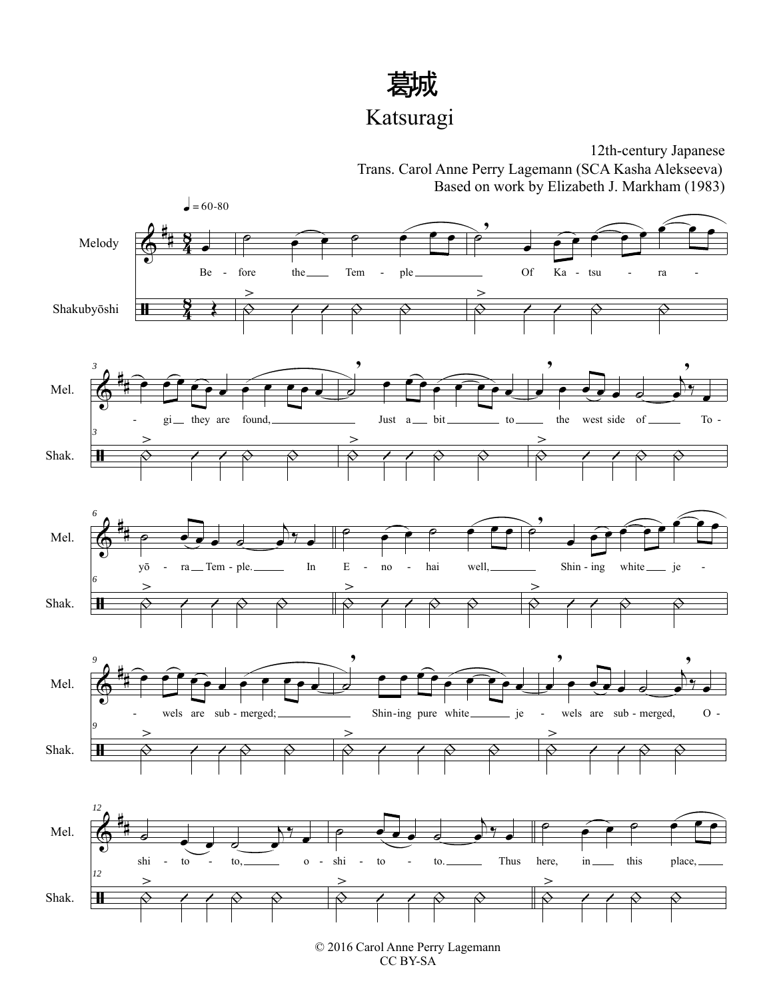

## Katsuragi

 $\pmb{\Phi}$ ĦΗ # # 4 <u>ទ្</u>  $\frac{5}{4}$ 8 Melody Shakubyōshi œ Be Œ  $\bullet = 60 - 80$ ˙ œ œ ˙ œ œ œ fore the Tem - ple.  $\frac{\Theta}{\sqrt{2}}$  $\geq$  $\leftarrow$   $\qquad \qquad \circ$  $\geq$ ,  $\widetilde{\mathcal{C}}$ Of Ka - tsu - ra  $\frac{\Diamond}{\ }$  $\geq$  $\left| \begin{array}{ccc} & \circ & \circ \\ \hline \end{array} \right|$ - - -- -  $\pmb{\Phi}$ -11 # Mel. Shak. *3* œ œ <sup>œ</sup> <sup>œ</sup> <sup>œ</sup> <sup>œ</sup> <sup>œ</sup> œ œ <sup>œ</sup> <sup>œ</sup>  $gi$ <sub>m</sub> they are found, *3*  $\triangle$  $\geq$  $\left| \begin{array}{cc} | & \wedge & \wedge \\ | & \wedge & \wedge \end{array} \right|$  $\overline{\mathbf{z}}$ ,  $\overrightarrow{e}$   $\overrightarrow{e}$   $\overrightarrow{e}$   $\overrightarrow{e}$   $\overrightarrow{e}$   $\overrightarrow{e}$  $\text{g}$  i they are found, the substantial state of  $\text{g}$  is the set side of  $\text{g}$  the west side of  $\text{g}$  $\triangle$  $\geq$  | | œ ,  $\overline{\mathbf{e}}$  .  $\overline{\mathbf{e}}$ œ ,  $^{\frac{9}{2}}$ the west side of To - $\triangle$  $\geq$  | |  $\pmb{\Phi}$  $\bf \bf H$ # Mel. Shak. *6*  $\circ$   $\bullet$   $\circ$   $\bullet$  $\frac{\partial y}{\partial x}$ yō - ra Tem - ple. In E - no - hai well, Shin - ing white je -*6*  $\frac{\Diamond}{\ }$  $\geq$  $\left| \begin{array}{cc} | & \wedge & \wedge \\ | & \wedge & \wedge \end{array} \right|$ ˙ œ œ ˙ œ œ œ E - no - hai well,  $\heartsuit$  $\geq$  $\left| \begin{array}{cc} | & \wedge & \wedge \\ | & \wedge & \wedge \end{array} \right|$  $\geq$ ,  $\widetilde{\mathcal{C}}$ Shin - ing white je  $\frac{\Theta}{\sqrt{2}}$  $\geq$  $\left( \begin{array}{cc} \nearrow & \nearrow & \nearrow \end{array} \right)$  $\Phi$  $\bf \mathbf{\mathbf{H}}$ # Mel. Shak. *9*  $\hat{e}$   $\hat{e}$   $\hat{e}$   $\hat{e}$   $\hat{e}$   $\hat{e}$   $\hat{e}$   $\hat{e}$   $\hat{e}$   $\hat{e}$   $\hat{e}$   $\hat{e}$   $\hat{e}$   $\hat{e}$   $\hat{e}$   $\hat{e}$   $\hat{e}$   $\hat{e}$   $\hat{e}$   $\hat{e}$   $\hat{e}$   $\hat{e}$   $\hat{e}$   $\hat{e}$   $\hat{e}$   $\hat{e}$   $\hat{e}$   $\hat{e$ wels are sub-merged; Shin-ing pure white is not be wels are sub-merged, O -*9*  $\frac{\Diamond}{\ }$  $\geq$  $\left| \left| \begin{array}{cc} \diamond & \diamond \\ \circ & \diamond \end{array} \right| \right|$  $\overline{\mathbf{z}}$ ,  $\overrightarrow{e}$   $\overrightarrow{e}$   $\overrightarrow{e}$   $\overrightarrow{e}$   $\overrightarrow{e}$   $\overrightarrow{e}$   $\overrightarrow{e}$   $\overrightarrow{e}$   $\overrightarrow{e}$   $\overrightarrow{e}$   $\overrightarrow{e}$   $\overrightarrow{e}$   $\overrightarrow{e}$   $\overrightarrow{e}$   $\overrightarrow{e}$   $\overrightarrow{e}$   $\overrightarrow{e}$   $\overrightarrow{e}$   $\overrightarrow{e}$   $\overrightarrow{e}$   $\overrightarrow{e}$   $\overrightarrow{e}$   $\overrightarrow{e}$   $\overrightarrow{e}$   $\over$ Shin-ing pure white je  $\frac{\Diamond}{\ }$  $\geq$  $\leftarrow$   $\leftarrow$   $\circ$   $\circ$ œ ,  $\bullet$   $\bullet$   $\bullet$   $\bullet$ œ ,  $^{\bullet}$ wels are sub-merged, O- $\frac{\Diamond}{\ }$  $\geq$  $\left| \right|$   $\land$   $\Diamond$  $\pmb{\Phi}$  $\bf{H}$ # Mel. Shak. *12*  $\bullet$   $\bullet$   $\bullet$   $\bullet$  $\bigwedge^{\bullet}$  $\sin$  to  $\cos$  to, o *12*  $\frac{\Diamond}{\ }$  $\geq$  | |  $\circ$   $\bullet$   $\circ$   $\bullet$  $\frac{1}{2}$  . shi - to - to. Thus  $\frac{\Diamond}{\ }$  $\geq$  | | ˙ œ œ ˙ œ œ œ here,  $\sin \theta$  this place,  $\frac{\Diamond}{\ }$  $\geq$  | |  $-$  to  $-$  to,  $-$  0  $-$  shi  $-$  to  $-$ 12th-century Japanese Trans. Carol Anne Perry Lagemann (SCA Kasha Alekseeva) Based on work by Elizabeth J. Markham (1983)

> © 2016 Carol Anne Perry Lagemann CC BY-SA